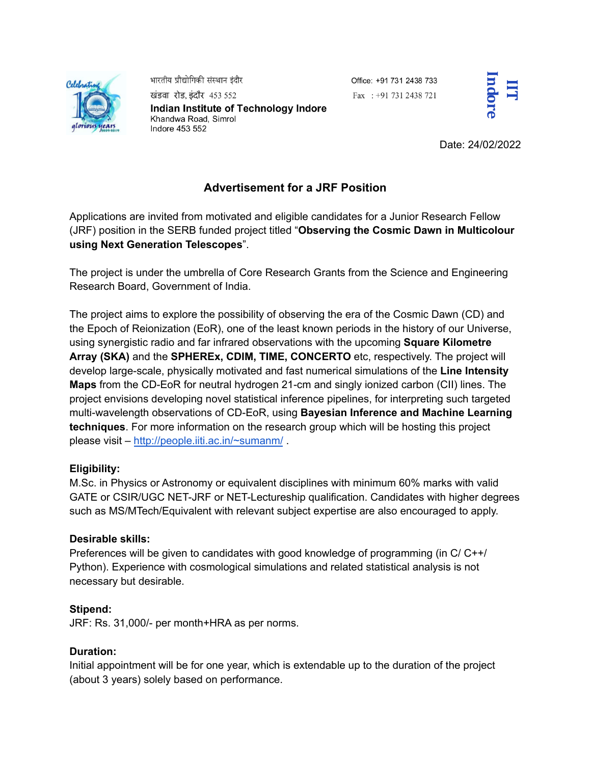

भारतीय प्रौद्योगिकी संस्थान इंदौर

खंडवा रोड, इंदौर 453 552 Indian Institute of Technology Indore Khandwa Road, Simrol Indore 453 552

Office: +91 731 2438 733 Fax: +91 731 2438 721



Date: 24/02/2022

# **Advertisement for a JRF Position**

Applications are invited from motivated and eligible candidates for a Junior Research Fellow (JRF) position in the SERB funded project titled "**Observing the Cosmic Dawn in Multicolour using Next Generation Telescopes**".

The project is under the umbrella of Core Research Grants from the Science and Engineering Research Board, Government of India.

The project aims to explore the possibility of observing the era of the Cosmic Dawn (CD) and the Epoch of Reionization (EoR), one of the least known periods in the history of our Universe, using synergistic radio and far infrared observations with the upcoming **Square Kilometre Array (SKA)** and the **SPHEREx, CDIM, TIME, CONCERTO** etc, respectively. The project will develop large-scale, physically motivated and fast numerical simulations of the **Line Intensity Maps** from the CD-EoR for neutral hydrogen 21-cm and singly ionized carbon (CII) lines. The project envisions developing novel statistical inference pipelines, for interpreting such targeted multi-wavelength observations of CD-EoR, using **Bayesian Inference and Machine Learning techniques**. For more information on the research group which will be hosting this project please visit – <http://people.iiti.ac.in/~sumanm/> .

## **Eligibility:**

M.Sc. in Physics or Astronomy or equivalent disciplines with minimum 60% marks with valid GATE or CSIR/UGC NET-JRF or NET-Lectureship qualification. Candidates with higher degrees such as MS/MTech/Equivalent with relevant subject expertise are also encouraged to apply.

## **Desirable skills:**

Preferences will be given to candidates with good knowledge of programming (in C/ C++/ Python). Experience with cosmological simulations and related statistical analysis is not necessary but desirable.

## **Stipend:**

JRF: Rs. 31,000/- per month+HRA as per norms.

## **Duration:**

Initial appointment will be for one year, which is extendable up to the duration of the project (about 3 years) solely based on performance.